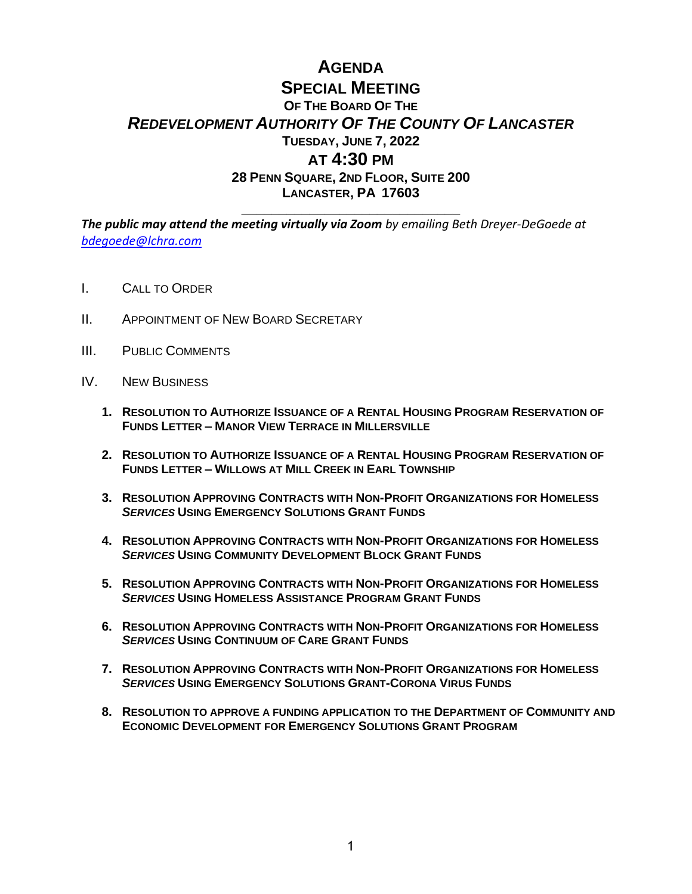## **AGENDA SPECIAL MEETING OF THE BOARD OF THE** *REDEVELOPMENT AUTHORITY OF THE COUNTY OF LANCASTER* **TUESDAY, JUNE 7, 2022 AT 4:30 PM 28 PENN SQUARE, 2ND FLOOR, SUITE 200 LANCASTER, PA 17603**

**\_\_\_\_\_\_\_\_\_\_\_\_\_\_\_\_\_\_\_\_\_\_\_\_\_\_\_\_\_**

*The public may attend the meeting virtually via Zoom by emailing Beth Dreyer-DeGoede at [bdegoede@lchra.com](mailto:bdegoede@lchra.com)* 

- I. CALL TO ORDER
- II. APPOINTMENT OF NEW BOARD SECRETARY
- III. PUBLIC COMMENTS
- IV. NEW BUSINESS
	- **1. RESOLUTION TO AUTHORIZE ISSUANCE OF A RENTAL HOUSING PROGRAM RESERVATION OF FUNDS LETTER – MANOR VIEW TERRACE IN MILLERSVILLE**
	- **2. RESOLUTION TO AUTHORIZE ISSUANCE OF A RENTAL HOUSING PROGRAM RESERVATION OF FUNDS LETTER – WILLOWS AT MILL CREEK IN EARL TOWNSHIP**
	- **3. RESOLUTION APPROVING CONTRACTS WITH NON-PROFIT ORGANIZATIONS FOR HOMELESS**  *SERVICES* **USING EMERGENCY SOLUTIONS GRANT FUNDS**
	- **4. RESOLUTION APPROVING CONTRACTS WITH NON-PROFIT ORGANIZATIONS FOR HOMELESS SERVICES USING COMMUNITY DEVELOPMENT BLOCK GRANT FUNDS**
	- **5. RESOLUTION APPROVING CONTRACTS WITH NON-PROFIT ORGANIZATIONS FOR HOMELESS**  *SERVICES* **USING HOMELESS ASSISTANCE PROGRAM GRANT FUNDS**
	- **6. RESOLUTION APPROVING CONTRACTS WITH NON-PROFIT ORGANIZATIONS FOR HOMELESS**  *SERVICES* **USING CONTINUUM OF CARE GRANT FUNDS**
	- **7. RESOLUTION APPROVING CONTRACTS WITH NON-PROFIT ORGANIZATIONS FOR HOMELESS**  *SERVICES* **USING EMERGENCY SOLUTIONS GRANT-CORONA VIRUS FUNDS**
	- **8. RESOLUTION TO APPROVE A FUNDING APPLICATION TO THE DEPARTMENT OF COMMUNITY AND ECONOMIC DEVELOPMENT FOR EMERGENCY SOLUTIONS GRANT PROGRAM**